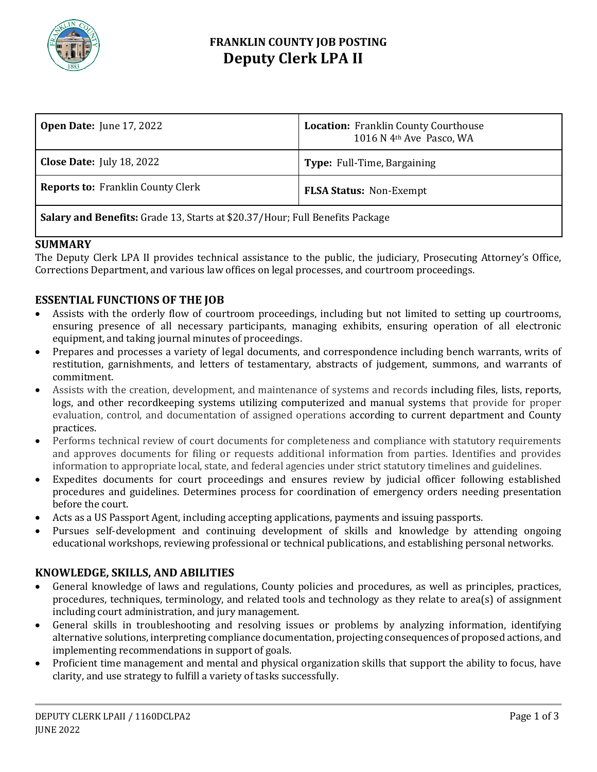

## **FRANKLIN COUNTY JOB POSTING Deputy Clerk LPA II**

| <b>Open Date:</b> June 17, 2022                                              | <b>Location:</b> Franklin County Courthouse<br>1016 N 4 <sup>th</sup> Ave Pasco, WA |
|------------------------------------------------------------------------------|-------------------------------------------------------------------------------------|
| <b>Close Date:</b> July 18, 2022                                             | Type: Full-Time, Bargaining                                                         |
| <b>Reports to: Franklin County Clerk</b>                                     | <b>FLSA Status: Non-Exempt</b>                                                      |
| Colour and Donafts: Cuada 12, Storts at \$20.27 (Hour, Eul) Donafts Declares |                                                                                     |

**Salary and Benefits:** Grade 13, Starts at \$20.37/Hour; Full Benefits Package

### **SUMMARY**

The Deputy Clerk LPA II provides technical assistance to the public, the judiciary, Prosecuting Attorney's Office, Corrections Department, and various law offices on legal processes, and courtroom proceedings.

## **ESSENTIAL FUNCTIONS OF THE JOB**

- Assists with the orderly flow of courtroom proceedings, including but not limited to setting up courtrooms, ensuring presence of all necessary participants, managing exhibits, ensuring operation of all electronic equipment, and taking journal minutes of proceedings.
- Prepares and processes a variety of legal documents, and correspondence including bench warrants, writs of restitution, garnishments, and letters of testamentary, abstracts of judgement, summons, and warrants of commitment.
- Assists with the creation, development, and maintenance of systems and records including files, lists, reports, logs, and other recordkeeping systems utilizing computerized and manual systems that provide for proper evaluation, control, and documentation of assigned operations according to current department and County practices.
- Performs technical review of court documents for completeness and compliance with statutory requirements and approves documents for filing or requests additional information from parties. Identifies and provides information to appropriate local, state, and federal agencies under strict statutory timelines and guidelines.
- Expedites documents for court proceedings and ensures review by judicial officer following established procedures and guidelines. Determines process for coordination of emergency orders needing presentation before the court.
- Acts as a US Passport Agent, including accepting applications, payments and issuing passports.
- Pursues self-development and continuing development of skills and knowledge by attending ongoing educational workshops, reviewing professional or technical publications, and establishing personal networks.

## **KNOWLEDGE, SKILLS, AND ABILITIES**

- General knowledge of laws and regulations, County policies and procedures, as well as principles, practices, procedures, techniques, terminology, and related tools and technology as they relate to area(s) of assignment including court administration, and jury management.
- General skills in troubleshooting and resolving issues or problems by analyzing information, identifying alternative solutions, interpreting compliance documentation, projecting consequences of proposed actions, and implementing recommendations in support of goals.
- Proficient time management and mental and physical organization skills that support the ability to focus, have clarity, and use strategy to fulfill a variety of tasks successfully.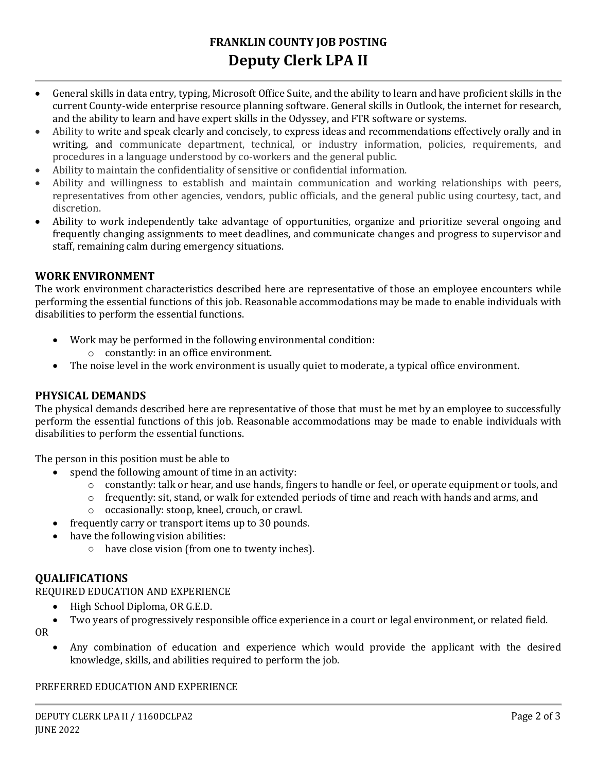# **FRANKLIN COUNTY JOB POSTING Deputy Clerk LPA II**

- General skills in data entry, typing, Microsoft Office Suite, and the ability to learn and have proficient skills in the current County-wide enterprise resource planning software. General skills in Outlook, the internet for research, and the ability to learn and have expert skills in the Odyssey, and FTR software or systems.
- Ability to write and speak clearly and concisely, to express ideas and recommendations effectively orally and in writing, and communicate department, technical, or industry information, policies, requirements, and procedures in a language understood by co-workers and the general public.
- Ability to maintain the confidentiality of sensitive or confidential information.
- Ability and willingness to establish and maintain communication and working relationships with peers, representatives from other agencies, vendors, public officials, and the general public using courtesy, tact, and discretion.
- Ability to work independently take advantage of opportunities, organize and prioritize several ongoing and frequently changing assignments to meet deadlines, and communicate changes and progress to supervisor and staff, remaining calm during emergency situations.

#### **WORK ENVIRONMENT**

The work environment characteristics described here are representative of those an employee encounters while performing the essential functions of this job. Reasonable accommodations may be made to enable individuals with disabilities to perform the essential functions.

- Work may be performed in the following environmental condition:
	- o constantly: in an office environment.
- The noise level in the work environment is usually quiet to moderate, a typical office environment.

#### **PHYSICAL DEMANDS**

The physical demands described here are representative of those that must be met by an employee to successfully perform the essential functions of this job. Reasonable accommodations may be made to enable individuals with disabilities to perform the essential functions.

The person in this position must be able to

- spend the following amount of time in an activity:
	- o constantly: talk or hear, and use hands, fingers to handle or feel, or operate equipment or tools, and
	- o frequently: sit, stand, or walk for extended periods of time and reach with hands and arms, and
	- o occasionally: stoop, kneel, crouch, or crawl.
- frequently carry or transport items up to 30 pounds.
- have the following vision abilities:
	- have close vision (from one to twenty inches).

#### **QUALIFICATIONS**

#### REQUIRED EDUCATION AND EXPERIENCE

- High School Diploma, OR G.E.D.
- Two years of progressively responsible office experience in a court or legal environment, or related field.

OR

 Any combination of education and experience which would provide the applicant with the desired knowledge, skills, and abilities required to perform the job.

#### PREFERRED EDUCATION AND EXPERIENCE